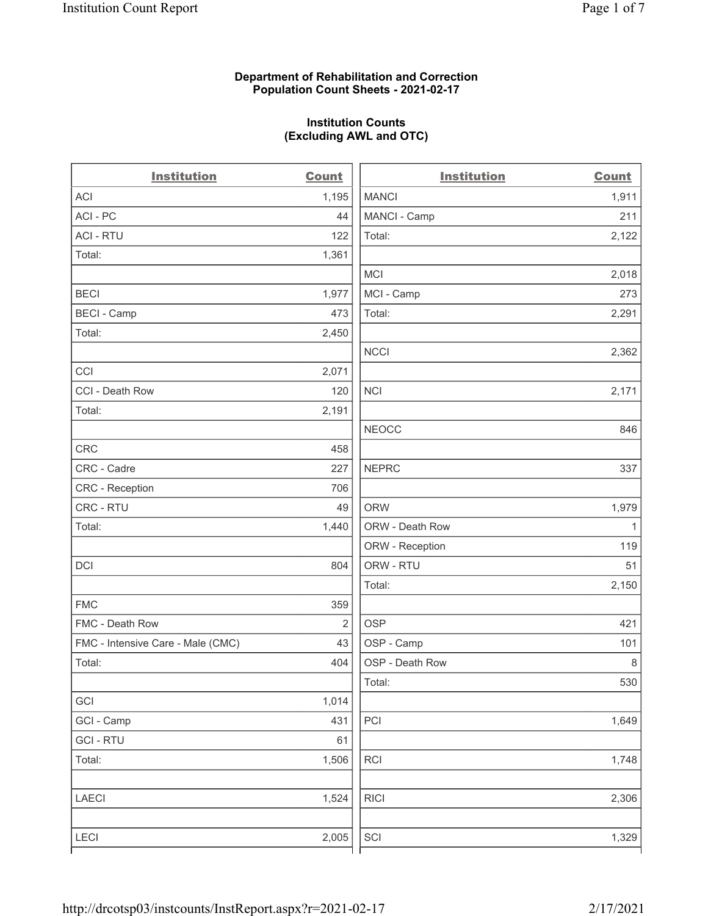# Department of Rehabilitation and Correction Population Count Sheets - 2021-02-17

# Institution Counts (Excluding AWL and OTC)

. .

| <b>Institution</b>                | <b>Count</b>   | <b>Institution</b> | <b>Count</b> |
|-----------------------------------|----------------|--------------------|--------------|
| <b>ACI</b>                        | 1,195          | <b>MANCI</b>       | 1,911        |
| ACI-PC                            | 44             | MANCI - Camp       | 211          |
| <b>ACI - RTU</b>                  | 122            | Total:             | 2,122        |
| Total:                            | 1,361          |                    |              |
|                                   |                | <b>MCI</b>         | 2,018        |
| <b>BECI</b>                       | 1,977          | MCI - Camp         | 273          |
| <b>BECI - Camp</b>                | 473            | Total:             | 2,291        |
| Total:                            | 2,450          |                    |              |
|                                   |                | <b>NCCI</b>        | 2,362        |
| CCI                               | 2,071          |                    |              |
| CCI - Death Row                   | 120            | <b>NCI</b>         | 2,171        |
| Total:                            | 2,191          |                    |              |
|                                   |                | <b>NEOCC</b>       | 846          |
| <b>CRC</b>                        | 458            |                    |              |
| CRC - Cadre                       | 227            | <b>NEPRC</b>       | 337          |
| CRC - Reception                   | 706            |                    |              |
| CRC - RTU                         | 49             | <b>ORW</b>         | 1,979        |
| Total:                            | 1,440          | ORW - Death Row    | $\mathbf{1}$ |
|                                   |                | ORW - Reception    | 119          |
| DCI                               | 804            | ORW - RTU          | 51           |
|                                   |                | Total:             | 2,150        |
| <b>FMC</b>                        | 359            |                    |              |
| FMC - Death Row                   | $\overline{2}$ | <b>OSP</b>         | 421          |
| FMC - Intensive Care - Male (CMC) | 43             | OSP - Camp         | 101          |
| Total:                            | 404            | OSP - Death Row    | 8            |
|                                   |                | Total:             | 530          |
| GCI                               | 1,014          |                    |              |
| GCI - Camp                        | 431            | PCI                | 1,649        |
| <b>GCI-RTU</b>                    | 61             |                    |              |
| Total:                            | 1,506          | RCI                | 1,748        |
| <b>LAECI</b>                      | 1,524          | <b>RICI</b>        | 2,306        |
| LECI                              | 2,005          | SCI                | 1,329        |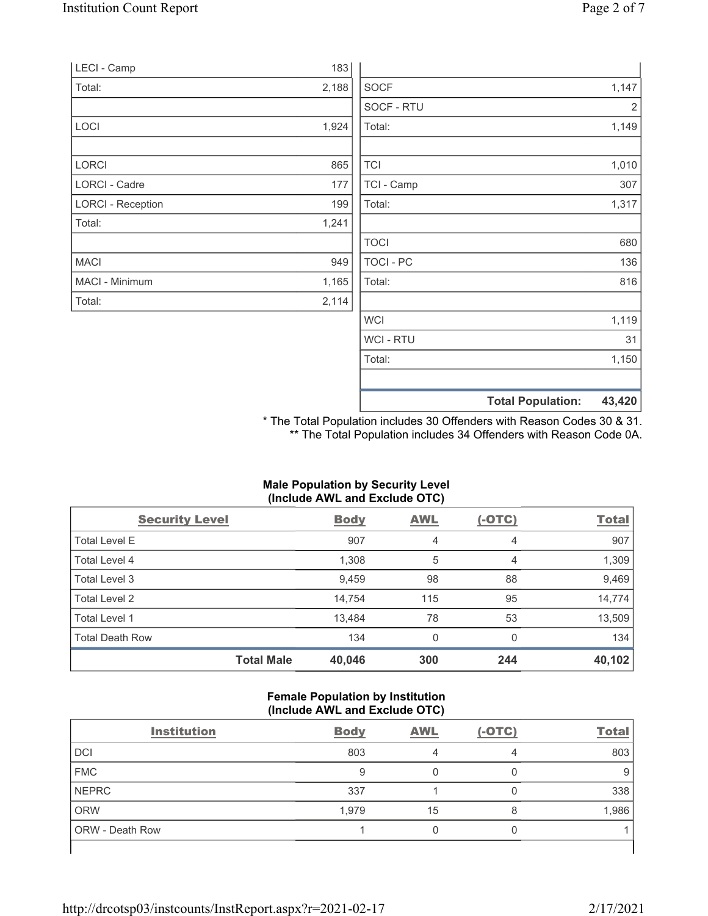|                          |       |                | <b>Total Population:</b> | 43,420 |
|--------------------------|-------|----------------|--------------------------|--------|
|                          |       |                |                          |        |
|                          |       | Total:         |                          | 1,150  |
|                          |       | <b>WCI-RTU</b> |                          | 31     |
|                          |       | <b>WCI</b>     |                          | 1,119  |
| Total:                   | 2,114 |                |                          |        |
| MACI - Minimum           | 1,165 | Total:         |                          | 816    |
| <b>MACI</b>              | 949   | TOCI - PC      |                          | 136    |
|                          |       | <b>TOCI</b>    |                          | 680    |
| Total:                   | 1,241 |                |                          |        |
| <b>LORCI - Reception</b> | 199   | Total:         |                          | 1,317  |
| <b>LORCI - Cadre</b>     | 177   | TCI - Camp     |                          | 307    |
| LORCI                    | 865   | <b>TCI</b>     |                          | 1,010  |
|                          | 1,924 | Total:         |                          | 1,149  |
| LOCI                     |       | SOCF - RTU     |                          | 2      |
| Total:                   | 2,188 | <b>SOCF</b>    |                          | 1,147  |
| LECI - Camp              | 183   |                |                          |        |
|                          |       |                |                          |        |

\* The Total Population includes 30 Offenders with Reason Codes 30 & 31. \*\* The Total Population includes 34 Offenders with Reason Code 0A.

# Male Population by Security Level (Include AWL and Exclude OTC)

| <b>Security Level</b>  |                   | <b>Body</b> | AWL          | $(-OTC)$ | <b>Total</b> |
|------------------------|-------------------|-------------|--------------|----------|--------------|
| Total Level E          |                   | 907         | 4            | 4        | 907          |
| Total Level 4          |                   | 1,308       | 5            | 4        | 1,309        |
| Total Level 3          |                   | 9,459       | 98           | 88       | 9,469        |
| Total Level 2          |                   | 14,754      | 115          | 95       | 14,774       |
| Total Level 1          |                   | 13,484      | 78           | 53       | 13,509       |
| <b>Total Death Row</b> |                   | 134         | $\mathbf{0}$ | $\Omega$ | 134          |
|                        | <b>Total Male</b> | 40,046      | 300          | 244      | 40,102       |

#### Female Population by Institution (Include AWL and Exclude OTC)

| <b>Institution</b>     | <b>Body</b> | <b>AWL</b> | $(-OTC)$ | <b>Total</b> |
|------------------------|-------------|------------|----------|--------------|
| DCI                    | 803         |            | 4        | 803          |
| <b>FMC</b>             | 9           |            |          |              |
| <b>NEPRC</b>           | 337         |            |          | 338          |
| ORW                    | 1,979       | 15         | 8        | 1,986        |
| <b>ORW</b> - Death Row |             |            |          |              |
|                        |             |            |          |              |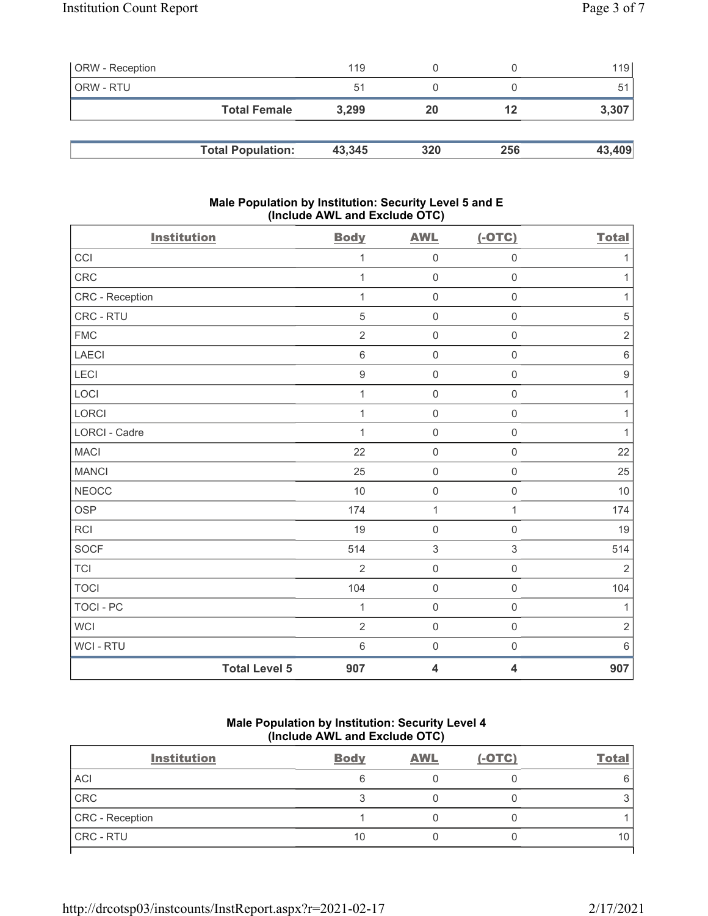| <b>ORW</b> - Reception |                          | 119    |     |     | 119    |
|------------------------|--------------------------|--------|-----|-----|--------|
| ORW - RTU              |                          | 51     |     |     | 51     |
|                        | <b>Total Female</b>      | 3,299  | 20  | 12  | 3,307  |
|                        |                          |        |     |     |        |
|                        | <b>Total Population:</b> | 43,345 | 320 | 256 | 43,409 |

# Male Population by Institution: Security Level 5 and E (Include AWL and Exclude OTC)

| <b>Institution</b>   |                      | <b>Body</b>      | <b>AWL</b>              | $(-OTC)$            | <b>Total</b>     |
|----------------------|----------------------|------------------|-------------------------|---------------------|------------------|
| CCI                  |                      | 1                | $\mathsf 0$             | $\mathsf{O}\xspace$ | 1                |
| CRC                  |                      | $\mathbf{1}$     | $\mathsf 0$             | $\mathsf 0$         | $\mathbf{1}$     |
| CRC - Reception      |                      | $\mathbf{1}$     | $\mathsf 0$             | $\mathsf 0$         | $\mathbf{1}$     |
| CRC - RTU            |                      | 5                | $\mathsf 0$             | $\mathsf{O}\xspace$ | 5                |
| <b>FMC</b>           |                      | 2                | $\mathsf{O}\xspace$     | $\mathsf 0$         | $\sqrt{2}$       |
| LAECI                |                      | 6                | $\mathsf 0$             | $\mathsf 0$         | $\,6\,$          |
| LECI                 |                      | $\boldsymbol{9}$ | $\mathsf 0$             | $\mathsf{O}\xspace$ | $\boldsymbol{9}$ |
| LOCI                 |                      | 1                | $\mathsf{O}\xspace$     | $\mathsf 0$         | $\mathbf{1}$     |
| LORCI                |                      | 1                | $\mathsf 0$             | $\mathsf{O}\xspace$ | 1                |
| <b>LORCI - Cadre</b> |                      | 1                | $\mathsf 0$             | $\mathbf 0$         | $\mathbf{1}$     |
| <b>MACI</b>          |                      | 22               | $\mathsf 0$             | $\mathsf 0$         | 22               |
| <b>MANCI</b>         |                      | 25               | $\mathsf 0$             | $\mathsf 0$         | 25               |
| <b>NEOCC</b>         |                      | 10               | $\mathsf 0$             | $\mathbf 0$         | 10               |
| <b>OSP</b>           |                      | 174              | 1                       | 1                   | 174              |
| <b>RCI</b>           |                      | 19               | $\mathsf 0$             | $\mathsf{O}\xspace$ | 19               |
| <b>SOCF</b>          |                      | 514              | $\sqrt{3}$              | $\sqrt{3}$          | 514              |
| <b>TCI</b>           |                      | $\overline{2}$   | $\mathbf 0$             | $\mathsf{O}\xspace$ | $\overline{2}$   |
| <b>TOCI</b>          |                      | 104              | $\mathsf 0$             | $\mathsf 0$         | 104              |
| <b>TOCI - PC</b>     |                      | 1                | $\mathsf 0$             | $\mathsf 0$         | $\mathbf{1}$     |
| <b>WCI</b>           |                      | $\overline{2}$   | $\mathsf 0$             | $\mathsf{O}\xspace$ | $\sqrt{2}$       |
| WCI - RTU            |                      | $\,6\,$          | $\mathsf 0$             | $\mathbf 0$         | $\,6\,$          |
|                      | <b>Total Level 5</b> | 907              | $\overline{\mathbf{4}}$ | 4                   | 907              |

# Male Population by Institution: Security Level 4 (Include AWL and Exclude OTC)

| <b>Institution</b> | <b>Body</b> | <b>AWL</b> | $(-OTC)$ | <b>Total</b> |
|--------------------|-------------|------------|----------|--------------|
| <b>ACI</b>         |             |            |          | 6            |
| CRC                |             |            |          |              |
| CRC - Reception    |             |            |          |              |
| <b>CRC - RTU</b>   | 10          |            |          | 10           |
|                    |             |            |          |              |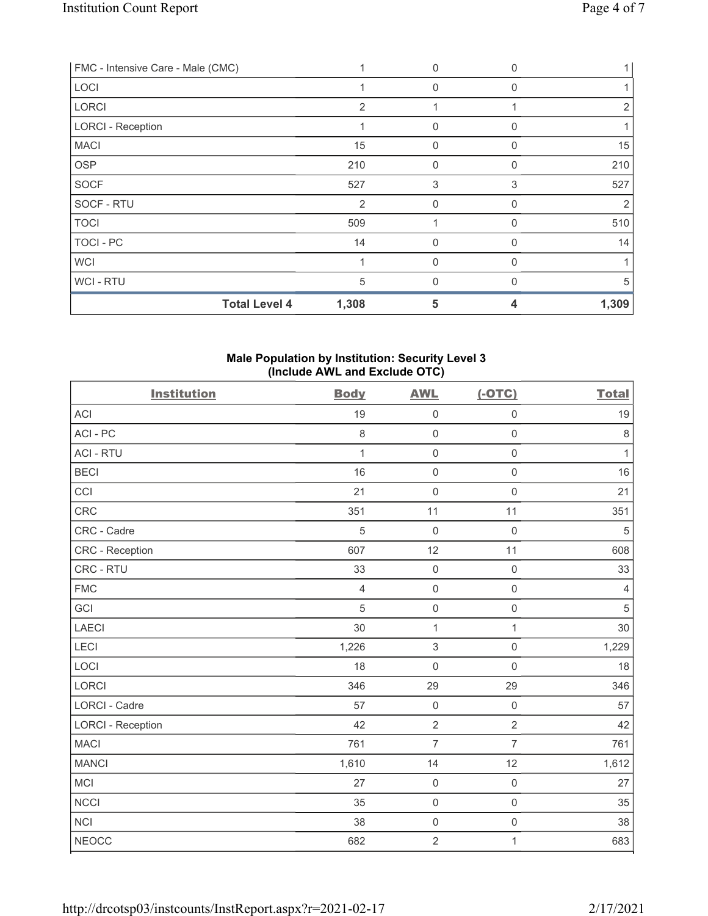| FMC - Intensive Care - Male (CMC) |       | 0            | $\Omega$ |       |
|-----------------------------------|-------|--------------|----------|-------|
| LOCI                              |       | 0            | O        |       |
| <b>LORCI</b>                      | 2     |              |          | 2     |
| <b>LORCI - Reception</b>          |       | $\mathbf{0}$ | O        |       |
| <b>MACI</b>                       | 15    | $\Omega$     |          | 15    |
| <b>OSP</b>                        | 210   | $\mathbf{0}$ | 0        | 210   |
| <b>SOCF</b>                       | 527   | 3            | 3        | 527   |
| SOCF - RTU                        | 2     | $\mathbf{0}$ | O        | 2     |
| <b>TOCI</b>                       | 509   |              | O        | 510   |
| TOCI - PC                         | 14    | $\mathbf 0$  | 0        | 14    |
| <b>WCI</b>                        |       | $\Omega$     | O        |       |
| WCI - RTU                         | 5     | $\Omega$     | U        | 5     |
| <b>Total Level 4</b>              | 1,308 | 5            | 4        | 1,309 |

# Male Population by Institution: Security Level 3 (Include AWL and Exclude OTC)

| <b>Institution</b>       | <b>Body</b>    | <b>AWL</b>          | $(-OTC)$            | <b>Total</b>   |
|--------------------------|----------------|---------------------|---------------------|----------------|
| ACI                      | 19             | $\mathsf 0$         | $\mathsf 0$         | 19             |
| ACI-PC                   | $\,8\,$        | $\mathsf{O}\xspace$ | $\mathsf 0$         | $\,8\,$        |
| <b>ACI - RTU</b>         | 1              | $\mathsf 0$         | $\mathsf 0$         | 1              |
| <b>BECI</b>              | 16             | $\mathsf 0$         | $\mathsf{O}\xspace$ | 16             |
| CCI                      | 21             | $\mathsf{O}\xspace$ | $\mathsf{O}\xspace$ | 21             |
| CRC                      | 351            | 11                  | 11                  | 351            |
| CRC - Cadre              | $\overline{5}$ | $\mathsf 0$         | $\mathsf{O}\xspace$ | $\sqrt{5}$     |
| CRC - Reception          | 607            | 12                  | 11                  | 608            |
| CRC - RTU                | 33             | $\mathsf{O}\xspace$ | $\mathsf{O}\xspace$ | 33             |
| <b>FMC</b>               | $\overline{4}$ | $\mathsf 0$         | $\mathsf 0$         | $\overline{4}$ |
| GCI                      | $\sqrt{5}$     | $\mathsf 0$         | $\mathsf 0$         | $\mathbf 5$    |
| LAECI                    | 30             | 1                   | 1                   | 30             |
| <b>LECI</b>              | 1,226          | $\sqrt{3}$          | $\mathsf 0$         | 1,229          |
| LOCI                     | 18             | $\mathbf 0$         | $\mathsf 0$         | 18             |
| <b>LORCI</b>             | 346            | 29                  | 29                  | 346            |
| <b>LORCI - Cadre</b>     | 57             | $\mathbf 0$         | $\mathsf{O}\xspace$ | 57             |
| <b>LORCI - Reception</b> | 42             | $\overline{2}$      | $\overline{2}$      | 42             |
| <b>MACI</b>              | 761            | $\overline{7}$      | $\overline{7}$      | 761            |
| <b>MANCI</b>             | 1,610          | 14                  | 12                  | 1,612          |
| <b>MCI</b>               | 27             | $\mathbf 0$         | $\mathsf 0$         | 27             |
| <b>NCCI</b>              | 35             | $\mathsf 0$         | $\mathsf{O}\xspace$ | 35             |
| <b>NCI</b>               | 38             | $\mathsf 0$         | $\mathsf 0$         | 38             |
| <b>NEOCC</b>             | 682            | $\sqrt{2}$          | $\mathbf{1}$        | 683            |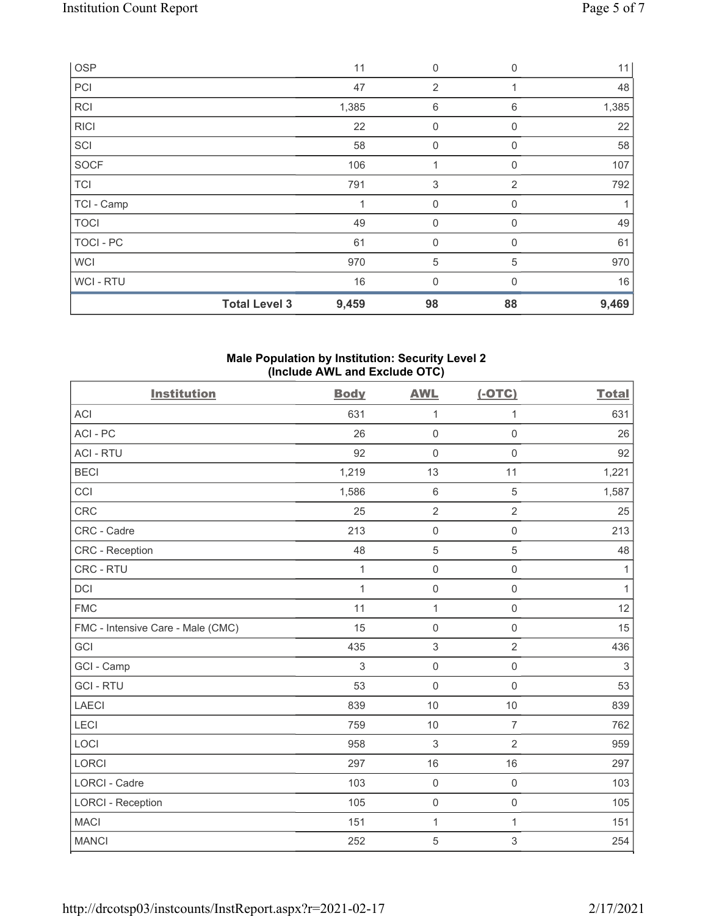|             | <b>Total Level 3</b> | 9,459 | 98                        | 88           | 9,469 |
|-------------|----------------------|-------|---------------------------|--------------|-------|
| WCI - RTU   |                      | 16    | $\mathbf{0}$              | $\Omega$     | 16    |
| <b>WCI</b>  |                      | 970   | $\sqrt{5}$                | 5            | 970   |
| TOCI - PC   |                      | 61    | $\mathbf 0$               | $\mathbf{0}$ | 61    |
| <b>TOCI</b> |                      | 49    | 0                         | 0            | 49    |
| TCI - Camp  |                      |       | 0                         | 0            | 1     |
| <b>TCI</b>  |                      | 791   | $\ensuremath{\mathsf{3}}$ | 2            | 792   |
| <b>SOCF</b> |                      | 106   | 1                         | 0            | 107   |
| SCI         |                      | 58    | 0                         | 0            | 58    |
| <b>RICI</b> |                      | 22    | 0                         | $\mathbf 0$  | 22    |
| <b>RCI</b>  |                      | 1,385 | 6                         | 6            | 1,385 |
| PCI         |                      | 47    | 2                         |              | 48    |
| OSP         |                      | 11    | $\mathbf 0$               | $\mathbf{0}$ | 11    |

#### Male Population by Institution: Security Level 2 (Include AWL and Exclude OTC)

| <b>Institution</b>                | <b>Body</b>  | <b>AWL</b>          | $(-OTC)$            | <b>Total</b> |
|-----------------------------------|--------------|---------------------|---------------------|--------------|
| <b>ACI</b>                        | 631          | $\mathbf 1$         | 1                   | 631          |
| ACI-PC                            | 26           | $\mathbf 0$         | $\mathsf{O}\xspace$ | 26           |
| <b>ACI - RTU</b>                  | 92           | $\mathbf 0$         | $\mathsf{O}\xspace$ | 92           |
| <b>BECI</b>                       | 1,219        | 13                  | 11                  | 1,221        |
| CCI                               | 1,586        | $6\,$               | 5                   | 1,587        |
| CRC                               | 25           | $\overline{2}$      | $\overline{2}$      | 25           |
| CRC - Cadre                       | 213          | $\mathsf{O}\xspace$ | $\mathsf 0$         | 213          |
| CRC - Reception                   | 48           | 5                   | 5                   | 48           |
| CRC - RTU                         | $\mathbf{1}$ | $\mathbf 0$         | $\mathsf 0$         | $\mathbf{1}$ |
| DCI                               | $\mathbf{1}$ | $\mathsf{O}\xspace$ | $\mathsf 0$         | $\mathbf{1}$ |
| <b>FMC</b>                        | 11           | $\mathbf{1}$        | $\mathsf{O}\xspace$ | 12           |
| FMC - Intensive Care - Male (CMC) | 15           | $\mathsf{O}\xspace$ | $\mathsf 0$         | 15           |
| GCI                               | 435          | $\mathfrak{S}$      | $\overline{2}$      | 436          |
| GCI - Camp                        | 3            | $\mathbf 0$         | $\mathsf{O}\xspace$ | 3            |
| <b>GCI-RTU</b>                    | 53           | $\mathbf 0$         | $\mathbf 0$         | 53           |
| <b>LAECI</b>                      | 839          | 10                  | 10                  | 839          |
| LECI                              | 759          | 10                  | $\overline{7}$      | 762          |
| LOCI                              | 958          | 3                   | $\overline{2}$      | 959          |
| <b>LORCI</b>                      | 297          | 16                  | 16                  | 297          |
| <b>LORCI - Cadre</b>              | 103          | $\mathbf 0$         | $\mathbf 0$         | 103          |
| <b>LORCI - Reception</b>          | 105          | $\mathsf{O}\xspace$ | $\mathsf{O}\xspace$ | 105          |
| <b>MACI</b>                       | 151          | $\mathbf{1}$        | 1                   | 151          |
| <b>MANCI</b>                      | 252          | $\overline{5}$      | 3                   | 254          |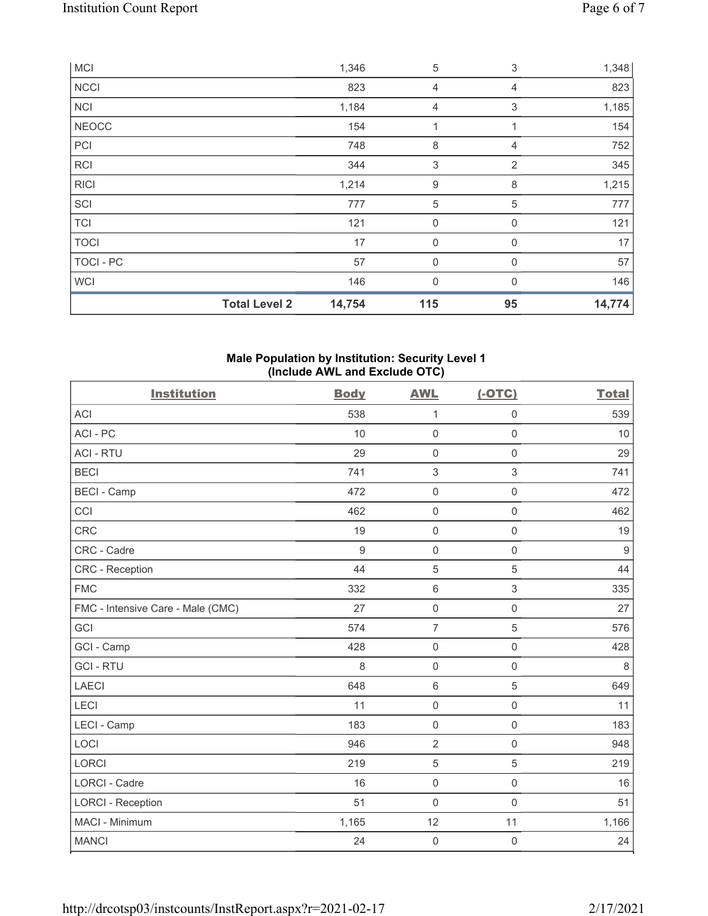|              | <b>Total Level 2</b> | 14,754 | 115            | 95             | 14,774 |
|--------------|----------------------|--------|----------------|----------------|--------|
| <b>WCI</b>   |                      | 146    | 0              | $\mathbf{0}$   | 146    |
| TOCI - PC    |                      | 57     | 0              | $\mathbf 0$    | 57     |
| <b>TOCI</b>  |                      | 17     | $\mathbf 0$    | 0              | 17     |
| <b>TCI</b>   |                      | 121    | $\mathbf 0$    | $\mathbf 0$    | 121    |
| SCI          |                      | 777    | $\mathbf 5$    | 5              | 777    |
| <b>RICI</b>  |                      | 1,214  | $9\,$          | 8              | 1,215  |
| <b>RCI</b>   |                      | 344    | 3              | $\overline{2}$ | 345    |
| PCI          |                      | 748    | 8              | 4              | 752    |
| <b>NEOCC</b> |                      | 154    | 1              | 1              | 154    |
| <b>NCI</b>   |                      | 1,184  | 4              | 3              | 1,185  |
| <b>NCCI</b>  |                      | 823    | $\overline{4}$ | 4              | 823    |
| <b>MCI</b>   |                      | 1,346  | 5              | 3              | 1,348  |

#### Male Population by Institution: Security Level 1 (Include AWL and Exclude OTC)

| <b>Institution</b>                | <b>Body</b> | <b>AWL</b>          | $(-OTC)$            | <b>Total</b>     |
|-----------------------------------|-------------|---------------------|---------------------|------------------|
| <b>ACI</b>                        | 538         | 1                   | $\mathsf 0$         | 539              |
| ACI-PC                            | 10          | $\mathbf 0$         | $\mathsf 0$         | 10               |
| <b>ACI - RTU</b>                  | 29          | $\mathsf{O}\xspace$ | $\mathbf 0$         | 29               |
| <b>BECI</b>                       | 741         | 3                   | 3                   | 741              |
| <b>BECI - Camp</b>                | 472         | $\mathsf{O}\xspace$ | $\mathsf 0$         | 472              |
| CCI                               | 462         | $\mathbf 0$         | $\mathsf 0$         | 462              |
| CRC                               | 19          | $\mathbf 0$         | $\mathsf{O}\xspace$ | 19               |
| CRC - Cadre                       | 9           | $\mathbf 0$         | $\mathsf{O}\xspace$ | $\boldsymbol{9}$ |
| <b>CRC</b> - Reception            | 44          | 5                   | $\sqrt{5}$          | 44               |
| <b>FMC</b>                        | 332         | $\,6\,$             | $\sqrt{3}$          | 335              |
| FMC - Intensive Care - Male (CMC) | 27          | $\mathbf 0$         | $\mathsf{O}\xspace$ | 27               |
| GCI                               | 574         | $\overline{7}$      | $\sqrt{5}$          | 576              |
| GCI - Camp                        | 428         | $\mathbf 0$         | $\mathsf{O}\xspace$ | 428              |
| <b>GCI-RTU</b>                    | 8           | $\mathbf 0$         | $\mathsf 0$         | 8                |
| <b>LAECI</b>                      | 648         | $\,6\,$             | $\sqrt{5}$          | 649              |
| LECI                              | 11          | $\mathbf 0$         | $\mathsf{O}\xspace$ | 11               |
| LECI - Camp                       | 183         | $\mathbf 0$         | $\mathbf 0$         | 183              |
| LOCI                              | 946         | $\overline{2}$      | $\mathbf 0$         | 948              |
| <b>LORCI</b>                      | 219         | 5                   | $\sqrt{5}$          | 219              |
| <b>LORCI - Cadre</b>              | 16          | $\mathbf 0$         | $\mathsf 0$         | 16               |
| <b>LORCI - Reception</b>          | 51          | $\mathbf 0$         | $\mathbf 0$         | 51               |
| MACI - Minimum                    | 1,165       | 12                  | 11                  | 1,166            |
| <b>MANCI</b>                      | 24          | $\mathbf 0$         | 0                   | 24               |